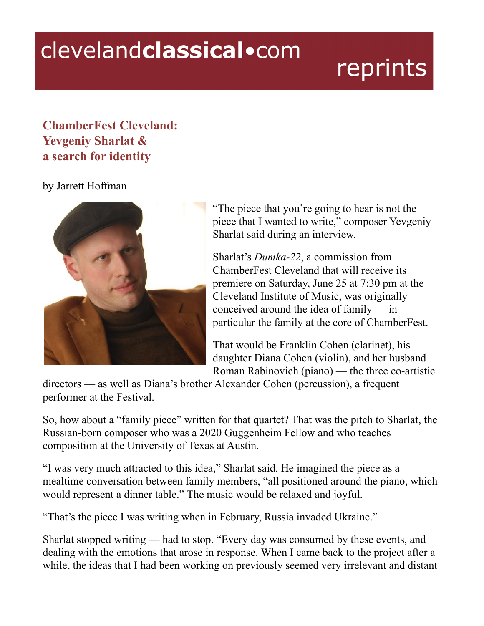## clevelandclassical.com

## reprints

## **ChamberFest Cleveland: Yevgeniy Sharlat & a search for identity**

## by Jarrett Hoffman



"The piece that you're going to hear is not the piece that I wanted to write," composer Yevgeniy Sharlat said during an interview.

Sharlat's *Dumka-22*, a commission from ChamberFest Cleveland that will receive its premiere on Saturday, June 25 at 7:30 pm at the Cleveland Institute of Music, was originally conceived around the idea of family — in particular the family at the core of ChamberFest.

That would be Franklin Cohen (clarinet), his daughter Diana Cohen (violin), and her husband Roman Rabinovich (piano) — the three co-artistic

directors — as well as Diana's brother Alexander Cohen (percussion), a frequent performer at the Festival.

So, how about a "family piece" written for that quartet? That was the pitch to Sharlat, the Russian-born composer who was a 2020 Guggenheim Fellow and who teaches composition at the University of Texas at Austin.

"I was very much attracted to this idea," Sharlat said. He imagined the piece as a mealtime conversation between family members, "all positioned around the piano, which would represent a dinner table." The music would be relaxed and joyful.

"That's the piece I was writing when in February, Russia invaded Ukraine."

Sharlat stopped writing — had to stop. "Every day was consumed by these events, and dealing with the emotions that arose in response. When I came back to the project after a while, the ideas that I had been working on previously seemed very irrelevant and distant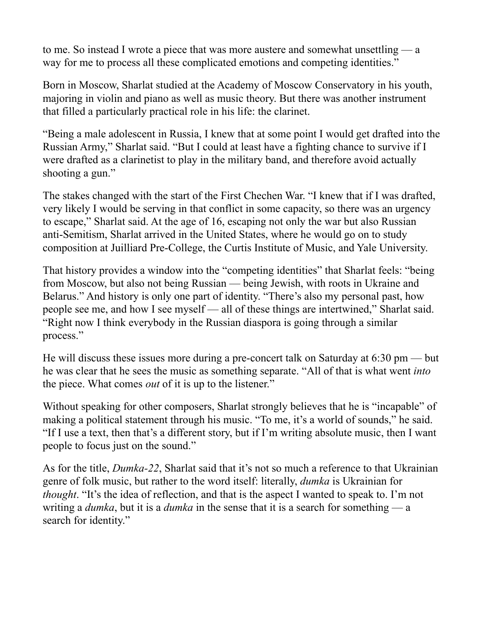to me. So instead I wrote a piece that was more austere and somewhat unsettling — a way for me to process all these complicated emotions and competing identities."

Born in Moscow, Sharlat studied at the Academy of Moscow Conservatory in his youth, majoring in violin and piano as well as music theory. But there was another instrument that filled a particularly practical role in his life: the clarinet.

"Being a male adolescent in Russia, I knew that at some point I would get drafted into the Russian Army," Sharlat said. "But I could at least have a fighting chance to survive if I were drafted as a clarinetist to play in the military band, and therefore avoid actually shooting a gun."

The stakes changed with the start of the First Chechen War. "I knew that if I was drafted, very likely I would be serving in that conflict in some capacity, so there was an urgency to escape," Sharlat said. At the age of 16, escaping not only the war but also Russian anti-Semitism, Sharlat arrived in the United States, where he would go on to study composition at Juilliard Pre-College, the Curtis Institute of Music, and Yale University.

That history provides a window into the "competing identities" that Sharlat feels: "being from Moscow, but also not being Russian — being Jewish, with roots in Ukraine and Belarus." And history is only one part of identity. "There's also my personal past, how people see me, and how I see myself — all of these things are intertwined," Sharlat said. "Right now I think everybody in the Russian diaspora is going through a similar process."

He will discuss these issues more during a pre-concert talk on Saturday at 6:30 pm — but he was clear that he sees the music as something separate. "All of that is what went *into* the piece. What comes *out* of it is up to the listener."

Without speaking for other composers, Sharlat strongly believes that he is "incapable" of making a political statement through his music. "To me, it's a world of sounds," he said. "If I use a text, then that's a different story, but if I'm writing absolute music, then I want people to focus just on the sound."

As for the title, *Dumka-22*, Sharlat said that it's not so much a reference to that Ukrainian genre of folk music, but rather to the word itself: literally, *dumka* is Ukrainian for *thought*. "It's the idea of reflection, and that is the aspect I wanted to speak to. I'm not writing a *dumka*, but it is a *dumka* in the sense that it is a search for something — a search for identity."